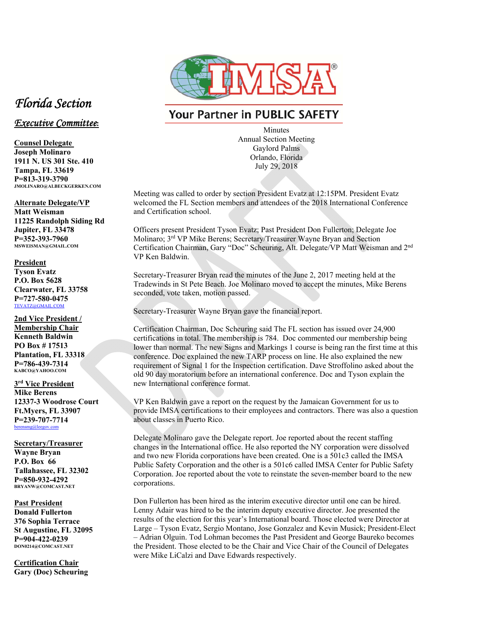

## **Your Partner in PUBLIC SAFETY**

Minutes Annual Section Meeting Gaylord Palms Orlando, Florida July 29, 2018

Meeting was called to order by section President Evatz at 12:15PM. President Evatz welcomed the FL Section members and attendees of the 2018 International Conference and Certification school.

Officers present President Tyson Evatz; Past President Don Fullerton; Delegate Joe Molinaro; 3rd VP Mike Berens; Secretary/Treasurer Wayne Bryan and Section Certification Chairman, Gary "Doc" Scheuring, Alt. Delegate/VP Matt Weisman and 2nd VP Ken Baldwin.

Secretary-Treasurer Bryan read the minutes of the June 2, 2017 meeting held at the Tradewinds in St Pete Beach. Joe Molinaro moved to accept the minutes, Mike Berens seconded, vote taken, motion passed.

Secretary-Treasurer Wayne Bryan gave the financial report.

Certification Chairman, Doc Scheuring said The FL section has issued over 24,900 certifications in total. The membership is 784. Doc commented our membership being lower than normal. The new Signs and Markings 1 course is being ran the first time at this conference. Doc explained the new TARP process on line. He also explained the new requirement of Signal 1 for the Inspection certification. Dave Stroffolino asked about the old 90 day moratorium before an international conference. Doc and Tyson explain the new International conference format.

VP Ken Baldwin gave a report on the request by the Jamaican Government for us to provide IMSA certifications to their employees and contractors. There was also a question about classes in Puerto Rico.

Delegate Molinaro gave the Delegate report. Joe reported about the recent staffing changes in the International office. He also reported the NY corporation were dissolved and two new Florida corporations have been created. One is a 501c3 called the IMSA Public Safety Corporation and the other is a 501c6 called IMSA Center for Public Safety Corporation. Joe reported about the vote to reinstate the seven-member board to the new corporations.

Don Fullerton has been hired as the interim executive director until one can be hired. Lenny Adair was hired to be the interim deputy executive director. Joe presented the results of the election for this year's International board. Those elected were Director at Large – Tyson Evatz, Sergio Montano, Jose Gonzalez and Kevin Musick; President-Elect – Adrian Olguin. Tod Lohman becomes the Past President and George Baureko becomes the President. Those elected to be the Chair and Vice Chair of the Council of Delegates were Mike LiCalzi and Dave Edwards respectively.

## *Florida Section*

## *Executive Committee***:**

**Counsel Delegate Joseph Molinaro 1911 N. US 301 Ste. 410 Tampa, FL 33619 P=813-319-3790 JMOLINARO@ALBECKGERKEN.COM** 

**Alternate Delegate/VP** 

**Matt Weisman 11225 Randolph Siding Rd Jupiter, FL 33478 P=352-393-7960 MSWEISMAN@GMAIL.COM** 

## **President**

**Tyson Evatz P.O. Box 5628 Clearwater, FL 33758 P=727-580-0475**  TEVATZ@GMAIL.COM

**2nd Vice President / Membership Chair Kenneth Baldwin PO Box # 17513 Plantation, FL 33318 P=786-439-7314 KABCO@YAHOO.COM** 

**3rd Vice President Mike Berens 12337-3 Woodrose Court Ft.Myers, FL 33907 P=239-707-7714**  berensmg@leegov.com

**Secretary/Treasurer Wayne Bryan P.O. Box 66 Tallahassee, FL 32302 P=850-932-4292 BRYANW@COMCAST.NET** 

**Past President Donald Fullerton 376 Sophia Terrace St Augustine, FL 32095 P=904-422-0239 DON0214@COMCAST.NET** 

**Certification Chair Gary (Doc) Scheuring**